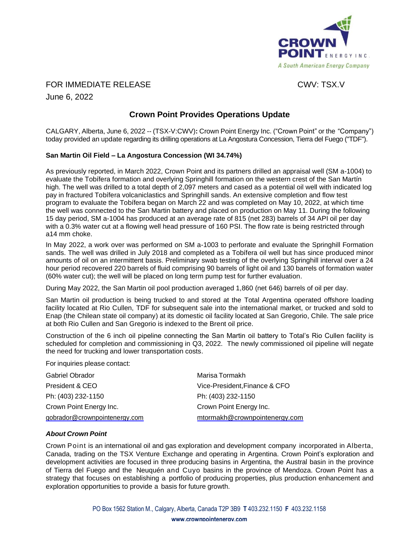

FOR IMMEDIATE RELEASE CWV: TSX.V

June 6, 2022

## **Crown Point Provides Operations Update**

CALGARY, Alberta, June 6, 2022 -- (TSX-V:CWV)**:** Crown Point Energy Inc. ("Crown Point" or the "Company") today provided an update regarding its drilling operations at La Angostura Concession, Tierra del Fuego ("TDF").

## **San Martin Oil Field – La Angostura Concession (WI 34.74%)**

As previously reported, in March 2022, Crown Point and its partners drilled an appraisal well (SM a-1004) to evaluate the Tobífera formation and overlying Springhill formation on the western crest of the San Martín high. The well was drilled to a total depth of 2,097 meters and cased as a potential oil well with indicated log pay in fractured Tobífera volcaniclastics and Springhill sands. An extensive completion and flow test program to evaluate the Tobífera began on March 22 and was completed on May 10, 2022, at which time the well was connected to the San Martin battery and placed on production on May 11. During the following 15 day period, SM a-1004 has produced at an average rate of 815 (net 283) barrels of 34 API oil per day with a 0.3% water cut at a flowing well head pressure of 160 PSI. The flow rate is being restricted through a14 mm choke.

In May 2022, a work over was performed on SM a-1003 to perforate and evaluate the Springhill Formation sands. The well was drilled in July 2018 and completed as a Tobífera oil well but has since produced minor amounts of oil on an intermittent basis. Preliminary swab testing of the overlying Springhill interval over a 24 hour period recovered 220 barrels of fluid comprising 90 barrels of light oil and 130 barrels of formation water (60% water cut); the well will be placed on long term pump test for further evaluation.

During May 2022, the San Martin oil pool production averaged 1,860 (net 646) barrels of oil per day.

San Martin oil production is being trucked to and stored at the Total Argentina operated offshore loading facility located at Rio Cullen, TDF for subsequent sale into the international market, or trucked and sold to Enap (the Chilean state oil company) at its domestic oil facility located at San Gregorio, Chile. The sale price at both Rio Cullen and San Gregorio is indexed to the Brent oil price.

Construction of the 6 inch oil pipeline connecting the San Martin oil battery to Total's Rio Cullen facility is scheduled for completion and commissioning in Q3, 2022. The newly commissioned oil pipeline will negate the need for trucking and lower transportation costs.

For inquiries please contact:

| Gabriel Obrador               | Marisa Tormakh                |
|-------------------------------|-------------------------------|
| President & CEO               | Vice-President, Finance & CFO |
| Ph: (403) 232-1150            | Ph: (403) 232-1150            |
| Crown Point Energy Inc.       | Crown Point Energy Inc.       |
| gobrador@crownpointenergy.com | mtormakh@crownpointenergy.com |

## *About Crown Point*

Crown Point is an international oil and gas exploration and development company incorporated in Alberta, Canada, trading on the TSX Venture Exchange and operating in Argentina. Crown Point's exploration and development activities are focused in three producing basins in Argentina, the Austral basin in the province of Tierra del Fuego and the Neuquén and Cuyo basins in the province of Mendoza. Crown Point has a strategy that focuses on establishing a portfolio of producing properties, plus production enhancement and exploration opportunities to provide a basis for future growth.